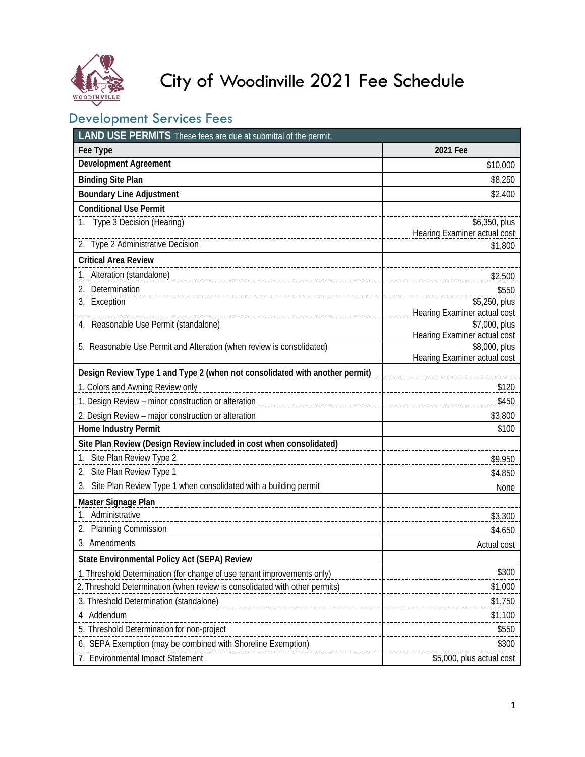

# City of Woodinville 2021 Fee Schedule

# Development Services Fees

| <b>LAND USE PERMITS</b> These fees are due at submittal of the permit.      |                                               |  |
|-----------------------------------------------------------------------------|-----------------------------------------------|--|
| Fee Type                                                                    | 2021 Fee                                      |  |
| Development Agreement                                                       | \$10,000                                      |  |
| <b>Binding Site Plan</b>                                                    | \$8,250                                       |  |
| <b>Boundary Line Adjustment</b>                                             | \$2,400                                       |  |
| <b>Conditional Use Permit</b>                                               |                                               |  |
| Type 3 Decision (Hearing)                                                   | \$6,350, plus                                 |  |
| 2. Type 2 Administrative Decision                                           | Hearing Examiner actual cost                  |  |
|                                                                             | \$1,800                                       |  |
| <b>Critical Area Review</b>                                                 |                                               |  |
| 1. Alteration (standalone)                                                  | \$2,500                                       |  |
| 2. Determination                                                            | \$550                                         |  |
| 3. Exception                                                                | \$5,250, plus<br>Hearing Examiner actual cost |  |
| 4. Reasonable Use Permit (standalone)                                       | \$7,000, plus                                 |  |
|                                                                             | Hearing Examiner actual cost                  |  |
| 5. Reasonable Use Permit and Alteration (when review is consolidated)       | \$8,000, plus                                 |  |
|                                                                             | Hearing Examiner actual cost                  |  |
| Design Review Type 1 and Type 2 (when not consolidated with another permit) |                                               |  |
| 1. Colors and Awning Review only                                            | \$120                                         |  |
| 1. Design Review - minor construction or alteration                         | \$450                                         |  |
| 2. Design Review - major construction or alteration                         | \$3,800                                       |  |
| Home Industry Permit                                                        | \$100                                         |  |
| Site Plan Review (Design Review included in cost when consolidated)         |                                               |  |
| 1. Site Plan Review Type 2                                                  | \$9,950                                       |  |
| Site Plan Review Type 1                                                     | \$4,850                                       |  |
| Site Plan Review Type 1 when consolidated with a building permit            | None                                          |  |
| Master Signage Plan                                                         |                                               |  |
| 1. Administrative                                                           | \$3,300                                       |  |
| 2. Planning Commission                                                      | \$4,650                                       |  |
| 3. Amendments                                                               | Actual cost                                   |  |
| State Environmental Policy Act (SEPA) Review                                |                                               |  |
| 1. Threshold Determination (for change of use tenant improvements only)     | \$300                                         |  |
| 2. Threshold Determination (when review is consolidated with other permits) | \$1,000                                       |  |
| 3. Threshold Determination (standalone)                                     | \$1,750                                       |  |
| Addendum<br>4                                                               | \$1,100                                       |  |
| 5. Threshold Determination for non-project                                  | \$550                                         |  |
| 6. SEPA Exemption (may be combined with Shoreline Exemption)                | \$300                                         |  |
| 7. Environmental Impact Statement                                           | \$5,000, plus actual cost                     |  |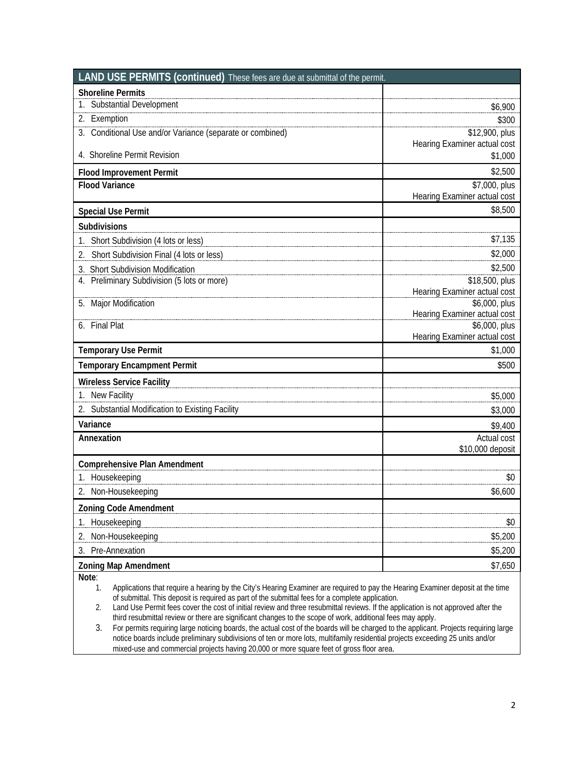| LAND USE PERMITS (continued) These fees are due at submittal of the permit.                                                     |                                               |
|---------------------------------------------------------------------------------------------------------------------------------|-----------------------------------------------|
| <b>Shoreline Permits</b>                                                                                                        |                                               |
| 1. Substantial Development                                                                                                      | \$6,900                                       |
| 2. Exemption                                                                                                                    | \$300                                         |
| 3. Conditional Use and/or Variance (separate or combined)                                                                       | \$12,900, plus                                |
|                                                                                                                                 | Hearing Examiner actual cost                  |
| 4. Shoreline Permit Revision                                                                                                    | \$1,000                                       |
| <b>Flood Improvement Permit</b>                                                                                                 | \$2,500                                       |
| <b>Flood Variance</b>                                                                                                           | \$7,000, plus<br>Hearing Examiner actual cost |
|                                                                                                                                 | \$8,500                                       |
| <b>Special Use Permit</b>                                                                                                       |                                               |
| Subdivisions                                                                                                                    |                                               |
| Short Subdivision (4 lots or less)                                                                                              | \$7,135                                       |
| Short Subdivision Final (4 lots or less)<br>2.                                                                                  | \$2,000                                       |
| 3. Short Subdivision Modification<br>4. Preliminary Subdivision (5 lots or more)                                                | \$2,500<br>\$18,500, plus                     |
|                                                                                                                                 | Hearing Examiner actual cost                  |
| <b>Major Modification</b><br>5.                                                                                                 | \$6,000, plus                                 |
|                                                                                                                                 | Hearing Examiner actual cost                  |
| 6. Final Plat                                                                                                                   | \$6,000, plus<br>Hearing Examiner actual cost |
| <b>Temporary Use Permit</b>                                                                                                     | \$1,000                                       |
| <b>Temporary Encampment Permit</b>                                                                                              | \$500                                         |
|                                                                                                                                 |                                               |
| <b>Wireless Service Facility</b>                                                                                                |                                               |
| 1. New Facility                                                                                                                 | \$5,000                                       |
| 2. Substantial Modification to Existing Facility                                                                                | \$3,000                                       |
| Variance                                                                                                                        | \$9,400                                       |
| Annexation                                                                                                                      | Actual cost<br>\$10,000 deposit               |
| <b>Comprehensive Plan Amendment</b>                                                                                             |                                               |
| 1. Housekeeping                                                                                                                 | \$0                                           |
| 2. Non-Housekeeping                                                                                                             | \$6,600                                       |
|                                                                                                                                 |                                               |
| <b>Zoning Code Amendment</b>                                                                                                    |                                               |
| Housekeeping                                                                                                                    | \$0                                           |
| Non-Housekeeping<br>2.                                                                                                          | \$5,200                                       |
| Pre-Annexation<br>3.                                                                                                            | \$5,200                                       |
| <b>Zoning Map Amendment</b><br>Note:                                                                                            | \$7,650                                       |
| Applications that require a bearing by the City's Hearing Evaminer are required to noy the Hearing Evaminer deposit at the time |                                               |

1. Applications that require a hearing by the City's Hearing Examiner are required to pay the Hearing Examiner deposit at the time of submittal. This deposit is required as part of the submittal fees for a complete application.

2. Land Use Permit fees cover the cost of initial review and three resubmittal reviews. If the application is not approved after the third resubmittal review or there are significant changes to the scope of work, additional fees may apply.

3. For permits requiring large noticing boards, the actual cost of the boards will be charged to the applicant. Projects requiring large notice boards include preliminary subdivisions of ten or more lots, multifamily residential projects exceeding 25 units and/or mixed-use and commercial projects having 20,000 or more square feet of gross floor area.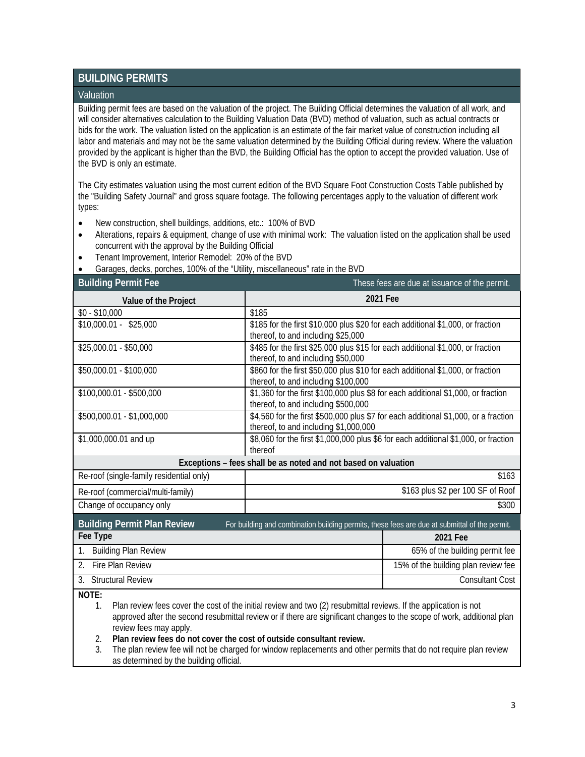## **BUILDING PERMITS**

#### Valuation

Building permit fees are based on the valuation of the project. The Building Official determines the valuation of all work, and will consider alternatives calculation to the Building Valuation Data (BVD) method of valuation, such as actual contracts or bids for the work. The valuation listed on the application is an estimate of the fair market value of construction including all labor and materials and may not be the same valuation determined by the Building Official during review. Where the valuation provided by the applicant is higher than the BVD, the Building Official has the option to accept the provided valuation. Use of the BVD is only an estimate.

The City estimates valuation using the most current edition of the BVD Square Foot Construction Costs Table published by the "Building Safety Journal" and gross square footage. The following percentages apply to the valuation of different work types:

- New construction, shell buildings, additions, etc.: 100% of BVD
- Alterations, repairs & equipment, change of use with minimal work: The valuation listed on the application shall be used concurrent with the approval by the Building Official
- Tenant Improvement, Interior Remodel: 20% of the BVD
- Garages, decks, porches, 100% of the "Utility, miscellaneous" rate in the BVD

| <b>Building Permit Fee</b>                                                                                                          |                                                                                                                              | These fees are due at issuance of the permit.                                   |  |
|-------------------------------------------------------------------------------------------------------------------------------------|------------------------------------------------------------------------------------------------------------------------------|---------------------------------------------------------------------------------|--|
| Value of the Project                                                                                                                | 2021 Fee                                                                                                                     |                                                                                 |  |
| $$0 - $10,000$                                                                                                                      | \$185                                                                                                                        |                                                                                 |  |
| $$10,000.01 - $25,000$                                                                                                              | \$185 for the first \$10,000 plus \$20 for each additional \$1,000, or fraction                                              |                                                                                 |  |
|                                                                                                                                     | thereof, to and including \$25,000                                                                                           |                                                                                 |  |
| \$25,000.01 - \$50,000                                                                                                              | thereof, to and including \$50,000                                                                                           | \$485 for the first \$25,000 plus \$15 for each additional \$1,000, or fraction |  |
| \$50,000.01 - \$100,000                                                                                                             | \$860 for the first \$50,000 plus \$10 for each additional \$1,000, or fraction                                              |                                                                                 |  |
|                                                                                                                                     | thereof, to and including \$100,000                                                                                          |                                                                                 |  |
| \$100,000.01 - \$500,000                                                                                                            | \$1,360 for the first \$100,000 plus \$8 for each additional \$1,000, or fraction                                            |                                                                                 |  |
|                                                                                                                                     | thereof, to and including \$500,000                                                                                          |                                                                                 |  |
| \$500,000.01 - \$1,000,000                                                                                                          | \$4,560 for the first \$500,000 plus \$7 for each additional \$1,000, or a fraction                                          |                                                                                 |  |
| \$1,000,000.01 and up                                                                                                               | thereof, to and including \$1,000,000<br>\$8,060 for the first \$1,000,000 plus \$6 for each additional \$1,000, or fraction |                                                                                 |  |
|                                                                                                                                     | thereof                                                                                                                      |                                                                                 |  |
|                                                                                                                                     | Exceptions - fees shall be as noted and not based on valuation                                                               |                                                                                 |  |
| Re-roof (single-family residential only)                                                                                            |                                                                                                                              | \$163                                                                           |  |
| Re-roof (commercial/multi-family)                                                                                                   | \$163 plus \$2 per 100 SF of Roof                                                                                            |                                                                                 |  |
| Change of occupancy only                                                                                                            |                                                                                                                              | \$300                                                                           |  |
| <b>Building Permit Plan Review</b><br>For building and combination building permits, these fees are due at submittal of the permit. |                                                                                                                              |                                                                                 |  |
| Fee Type                                                                                                                            |                                                                                                                              | 2021 Fee                                                                        |  |
| <b>Building Plan Review</b><br>1.                                                                                                   |                                                                                                                              | 65% of the building permit fee                                                  |  |
| Fire Plan Review<br>$\mathfrak{D}$                                                                                                  |                                                                                                                              | 15% of the building plan review fee                                             |  |
| 3. Structural Review                                                                                                                |                                                                                                                              | <b>Consultant Cost</b>                                                          |  |
| NOTF.                                                                                                                               |                                                                                                                              |                                                                                 |  |

**NOTE:**

1. Plan review fees cover the cost of the initial review and two (2) resubmittal reviews. If the application is not approved after the second resubmittal review or if there are significant changes to the scope of work, additional plan review fees may apply.

2. **Plan review fees do not cover the cost of outside consultant review.**

3. The plan review fee will not be charged for window replacements and other permits that do not require plan review as determined by the building official.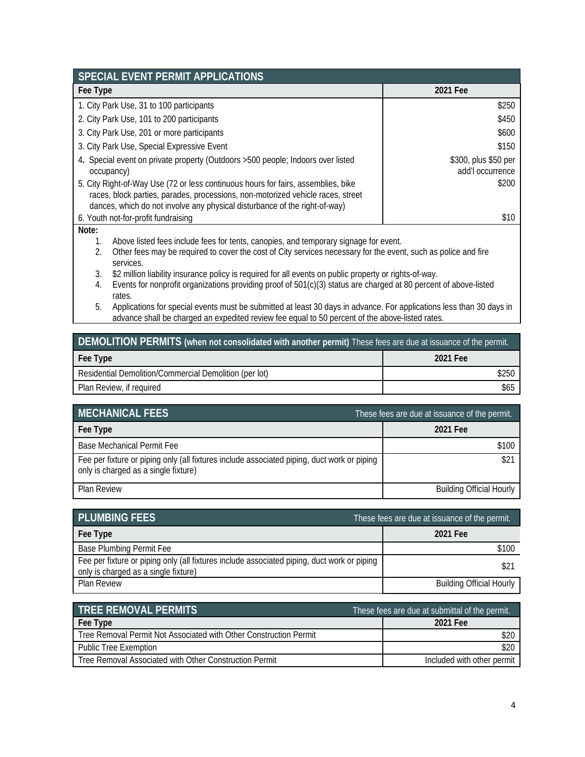| SPECIAL EVENT PERMIT APPLICATIONS                                                                                                                                                                                                                           |  |                                          |
|-------------------------------------------------------------------------------------------------------------------------------------------------------------------------------------------------------------------------------------------------------------|--|------------------------------------------|
| Fee Type                                                                                                                                                                                                                                                    |  | 2021 Fee                                 |
| 1. City Park Use, 31 to 100 participants                                                                                                                                                                                                                    |  | \$250                                    |
| 2. City Park Use, 101 to 200 participants                                                                                                                                                                                                                   |  | \$450                                    |
| 3. City Park Use, 201 or more participants                                                                                                                                                                                                                  |  | \$600                                    |
| 3. City Park Use, Special Expressive Event                                                                                                                                                                                                                  |  | \$150                                    |
| 4. Special event on private property (Outdoors > 500 people; Indoors over listed<br>occupancy)                                                                                                                                                              |  | \$300, plus \$50 per<br>add'l occurrence |
| \$200<br>5. City Right-of-Way Use (72 or less continuous hours for fairs, assemblies, bike<br>races, block parties, parades, processions, non-motorized vehicle races, street<br>dances, which do not involve any physical disturbance of the right-of-way) |  |                                          |
| 6. Youth not-for-profit fundraising                                                                                                                                                                                                                         |  | \$10                                     |
| Note:<br>Above listed fees include fees for tents, canopies, and temporary signage for event.<br>1.                                                                                                                                                         |  |                                          |
| 2.<br>Other fees may be required to cover the cost of City services necessary for the event, such as police and fire<br>services.                                                                                                                           |  |                                          |
| \$2 million liability insurance policy is required for all events on public property or rights-of-way.<br>3.                                                                                                                                                |  |                                          |
| Events for nonprofit organizations providing proof of 501(c)(3) status are charged at 80 percent of above-listed<br>4.<br>rates.                                                                                                                            |  |                                          |

5. Applications for special events must be submitted at least 30 days in advance. For applications less than 30 days in advance shall be charged an expedited review fee equal to 50 percent of the above-listed rates.

| DEMOLITION PERMITS (when not consolidated with another permit) These fees are due at issuance of the permit. |          |  |
|--------------------------------------------------------------------------------------------------------------|----------|--|
| Fee Type                                                                                                     | 2021 Fee |  |
| Residential Demolition/Commercial Demolition (per lot)                                                       | \$250    |  |
| Plan Review, if required                                                                                     | \$65     |  |

| <b>MECHANICAL FEES</b>                                                                                                              | These fees are due at issuance of the permit. |
|-------------------------------------------------------------------------------------------------------------------------------------|-----------------------------------------------|
| Fee Type                                                                                                                            | 2021 Fee                                      |
| Base Mechanical Permit Fee                                                                                                          | \$100                                         |
| Fee per fixture or piping only (all fixtures include associated piping, duct work or piping<br>only is charged as a single fixture) | \$21                                          |
| <b>Plan Review</b>                                                                                                                  | <b>Building Official Hourly</b>               |

| <b>PLUMBING FEES</b>                                                                                                                | These fees are due at issuance of the permit. |
|-------------------------------------------------------------------------------------------------------------------------------------|-----------------------------------------------|
| Fee Type                                                                                                                            | 2021 Fee                                      |
| Base Plumbing Permit Fee                                                                                                            | \$100                                         |
| Fee per fixture or piping only (all fixtures include associated piping, duct work or piping<br>only is charged as a single fixture) | \$21                                          |
| <b>Plan Review</b>                                                                                                                  | <b>Building Official Hourly</b>               |

| <b>TREE REMOVAL PERMITS</b>                                       | These fees are due at submittal of the permit. |
|-------------------------------------------------------------------|------------------------------------------------|
| Fee Type                                                          | 2021 Fee                                       |
| Tree Removal Permit Not Associated with Other Construction Permit |                                                |
| <b>Public Tree Exemption</b>                                      |                                                |
| Tree Removal Associated with Other Construction Permit            | Included with other permit                     |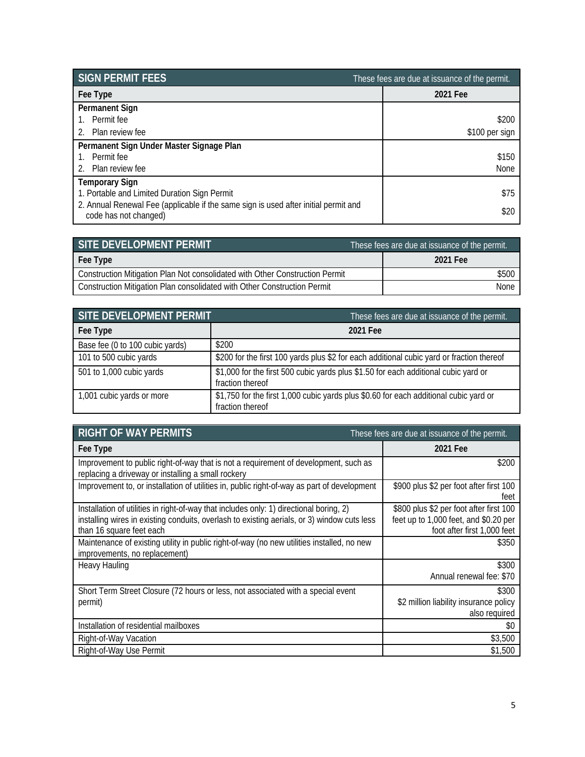| <b>SIGN PERMIT FEES</b>                                                                                      | These fees are due at issuance of the permit. |
|--------------------------------------------------------------------------------------------------------------|-----------------------------------------------|
| Fee Type                                                                                                     | 2021 Fee                                      |
| <b>Permanent Sign</b>                                                                                        |                                               |
| 1. Permit fee                                                                                                | \$200                                         |
| Plan review fee                                                                                              | \$100 per sign                                |
| Permanent Sign Under Master Signage Plan                                                                     |                                               |
| 1. Permit fee                                                                                                | \$150                                         |
| 2. Plan review fee                                                                                           | <b>None</b>                                   |
| <b>Temporary Sign</b>                                                                                        |                                               |
| 1. Portable and Limited Duration Sign Permit                                                                 | \$75                                          |
| 2. Annual Renewal Fee (applicable if the same sign is used after initial permit and<br>code has not changed) | \$20                                          |

| SITE DEVELOPMENT PERMIT                                                      | These fees are due at issuance of the permit. |
|------------------------------------------------------------------------------|-----------------------------------------------|
| Fee Type                                                                     | 2021 Fee                                      |
| Construction Mitigation Plan Not consolidated with Other Construction Permit | \$500                                         |
| Construction Mitigation Plan consolidated with Other Construction Permit     | <b>None</b>                                   |

| SITE DEVELOPMENT PERMIT         | These fees are due at issuance of the permit.                                                             |
|---------------------------------|-----------------------------------------------------------------------------------------------------------|
| Fee Type                        | 2021 Fee                                                                                                  |
| Base fee (0 to 100 cubic yards) | \$200                                                                                                     |
| 101 to 500 cubic yards          | \$200 for the first 100 yards plus \$2 for each additional cubic yard or fraction thereof                 |
| 501 to 1,000 cubic yards        | \$1,000 for the first 500 cubic yards plus \$1.50 for each additional cubic yard or<br>fraction thereof   |
| 1,001 cubic yards or more       | \$1,750 for the first 1,000 cubic yards plus \$0.60 for each additional cubic yard or<br>fraction thereof |

| <b>RIGHT OF WAY PERMITS</b><br>These fees are due at issuance of the permit.                                                                                                                                       |                                                                                                                 |
|--------------------------------------------------------------------------------------------------------------------------------------------------------------------------------------------------------------------|-----------------------------------------------------------------------------------------------------------------|
| Fee Type                                                                                                                                                                                                           | 2021 Fee                                                                                                        |
| Improvement to public right-of-way that is not a requirement of development, such as<br>replacing a driveway or installing a small rockery                                                                         | \$200                                                                                                           |
| Improvement to, or installation of utilities in, public right-of-way as part of development                                                                                                                        | \$900 plus \$2 per foot after first 100<br>feet                                                                 |
| Installation of utilities in right-of-way that includes only: 1) directional boring, 2)<br>installing wires in existing conduits, overlash to existing aerials, or 3) window cuts less<br>than 16 square feet each | \$800 plus \$2 per foot after first 100<br>feet up to 1,000 feet, and \$0.20 per<br>foot after first 1,000 feet |
| Maintenance of existing utility in public right-of-way (no new utilities installed, no new<br>improvements, no replacement)                                                                                        | \$350                                                                                                           |
| <b>Heavy Hauling</b>                                                                                                                                                                                               | \$300<br>Annual renewal fee: \$70                                                                               |
| Short Term Street Closure (72 hours or less, not associated with a special event<br>permit)                                                                                                                        | \$300<br>\$2 million liability insurance policy<br>also required                                                |
| Installation of residential mailboxes                                                                                                                                                                              | \$0                                                                                                             |
| Right-of-Way Vacation                                                                                                                                                                                              | \$3,500                                                                                                         |
| Right-of-Way Use Permit                                                                                                                                                                                            | \$1,500                                                                                                         |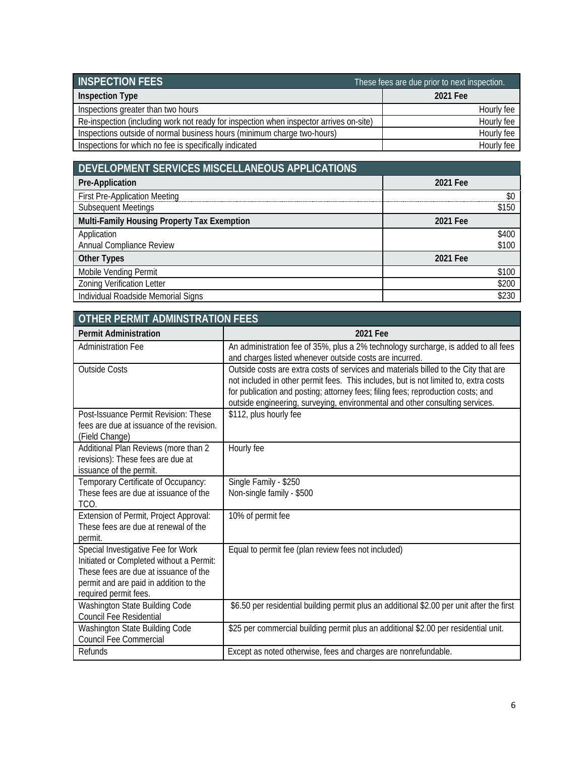| <b>INSPECTION FEES</b>                                                                 | These fees are due prior to next inspection. |
|----------------------------------------------------------------------------------------|----------------------------------------------|
| <b>Inspection Type</b>                                                                 | 2021 Fee                                     |
| Inspections greater than two hours                                                     | Hourly fee                                   |
| Re-inspection (including work not ready for inspection when inspector arrives on-site) | Hourly fee                                   |
| Inspections outside of normal business hours (minimum charge two-hours)                | Hourly fee                                   |
| Inspections for which no fee is specifically indicated                                 | Hourly fee                                   |

| DEVELOPMENT SERVICES MISCELLANEOUS APPLICATIONS |          |
|-------------------------------------------------|----------|
| Pre-Application                                 | 2021 Fee |
| <b>First Pre-Application Meeting</b>            | \$0      |
| <b>Subsequent Meetings</b>                      | \$150    |
| Multi-Family Housing Property Tax Exemption     | 2021 Fee |
| Application                                     | \$400    |
| Annual Compliance Review                        | \$100    |
| <b>Other Types</b>                              | 2021 Fee |
| Mobile Vending Permit                           | \$100    |
| <b>Zoning Verification Letter</b>               | \$200    |
| Individual Roadside Memorial Signs              | \$230    |

| OTHER PERMIT ADMINSTRATION FEES                                                                                                                                                            |                                                                                                                                                                                                                                                                                                                                                 |  |
|--------------------------------------------------------------------------------------------------------------------------------------------------------------------------------------------|-------------------------------------------------------------------------------------------------------------------------------------------------------------------------------------------------------------------------------------------------------------------------------------------------------------------------------------------------|--|
| <b>Permit Administration</b>                                                                                                                                                               | 2021 Fee                                                                                                                                                                                                                                                                                                                                        |  |
| <b>Administration Fee</b>                                                                                                                                                                  | An administration fee of 35%, plus a 2% technology surcharge, is added to all fees<br>and charges listed whenever outside costs are incurred.                                                                                                                                                                                                   |  |
| <b>Outside Costs</b>                                                                                                                                                                       | Outside costs are extra costs of services and materials billed to the City that are<br>not included in other permit fees. This includes, but is not limited to, extra costs<br>for publication and posting; attorney fees; filing fees; reproduction costs; and<br>outside engineering, surveying, environmental and other consulting services. |  |
| Post-Issuance Permit Revision: These<br>fees are due at issuance of the revision.<br>(Field Change)                                                                                        | \$112, plus hourly fee                                                                                                                                                                                                                                                                                                                          |  |
| Additional Plan Reviews (more than 2<br>revisions): These fees are due at<br>issuance of the permit.                                                                                       | Hourly fee                                                                                                                                                                                                                                                                                                                                      |  |
| Temporary Certificate of Occupancy:<br>These fees are due at issuance of the<br>TCO.                                                                                                       | Single Family - \$250<br>Non-single family - \$500                                                                                                                                                                                                                                                                                              |  |
| Extension of Permit, Project Approval:<br>These fees are due at renewal of the<br>permit.                                                                                                  | 10% of permit fee                                                                                                                                                                                                                                                                                                                               |  |
| Special Investigative Fee for Work<br>Initiated or Completed without a Permit:<br>These fees are due at issuance of the<br>permit and are paid in addition to the<br>required permit fees. | Equal to permit fee (plan review fees not included)                                                                                                                                                                                                                                                                                             |  |
| Washington State Building Code<br><b>Council Fee Residential</b>                                                                                                                           | \$6.50 per residential building permit plus an additional \$2.00 per unit after the first                                                                                                                                                                                                                                                       |  |
| Washington State Building Code<br><b>Council Fee Commercial</b>                                                                                                                            | \$25 per commercial building permit plus an additional \$2.00 per residential unit.                                                                                                                                                                                                                                                             |  |
| Refunds                                                                                                                                                                                    | Except as noted otherwise, fees and charges are nonrefundable.                                                                                                                                                                                                                                                                                  |  |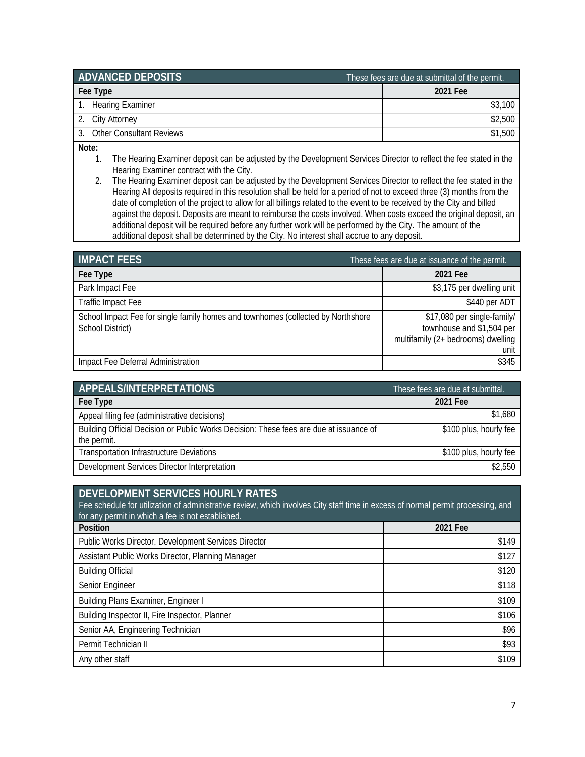| <b>ADVANCED DEPOSITS</b>        | These fees are due at submittal of the permit. |
|---------------------------------|------------------------------------------------|
| Fee Type                        | 2021 Fee                                       |
| 1. Hearing Examiner             | \$3,100                                        |
| City Attorney<br>2.             | \$2,500                                        |
| <b>Other Consultant Reviews</b> | \$1.500                                        |

**Note:**

- 1. The Hearing Examiner deposit can be adjusted by the Development Services Director to reflect the fee stated in the Hearing Examiner contract with the City.
- 2. The Hearing Examiner deposit can be adjusted by the Development Services Director to reflect the fee stated in the Hearing All deposits required in this resolution shall be held for a period of not to exceed three (3) months from the date of completion of the project to allow for all billings related to the event to be received by the City and billed against the deposit. Deposits are meant to reimburse the costs involved. When costs exceed the original deposit, an additional deposit will be required before any further work will be performed by the City. The amount of the additional deposit shall be determined by the City. No interest shall accrue to any deposit.

| <b>IMPACT FEES</b>                                                                                   | These fees are due at issuance of the permit.                                                          |  |
|------------------------------------------------------------------------------------------------------|--------------------------------------------------------------------------------------------------------|--|
| Fee Type                                                                                             | 2021 Fee                                                                                               |  |
| Park Impact Fee                                                                                      | \$3,175 per dwelling unit                                                                              |  |
| <b>Traffic Impact Fee</b>                                                                            | \$440 per ADT                                                                                          |  |
| School Impact Fee for single family homes and townhomes (collected by Northshore<br>School District) | \$17,080 per single-family/<br>townhouse and \$1,504 per<br>multifamily (2+ bedrooms) dwelling<br>unit |  |
| Impact Fee Deferral Administration                                                                   | \$345                                                                                                  |  |

| <b>APPEALS/INTERPRETATIONS</b>                                                                        | These fees are due at submittal. |
|-------------------------------------------------------------------------------------------------------|----------------------------------|
| Fee Type                                                                                              | 2021 Fee                         |
| Appeal filing fee (administrative decisions)                                                          | \$1,680                          |
| Building Official Decision or Public Works Decision: These fees are due at issuance of<br>the permit. | \$100 plus, hourly fee           |
| <b>Transportation Infrastructure Deviations</b>                                                       | \$100 plus, hourly fee           |
| Development Services Director Interpretation                                                          | \$2,550                          |

| DEVELOPMENT SERVICES HOURLY RATES<br>Fee schedule for utilization of administrative review, which involves City staff time in excess of normal permit processing, and<br>for any permit in which a fee is not established. |          |
|----------------------------------------------------------------------------------------------------------------------------------------------------------------------------------------------------------------------------|----------|
| Position                                                                                                                                                                                                                   | 2021 Fee |
| Public Works Director, Development Services Director                                                                                                                                                                       | \$149    |
| Assistant Public Works Director, Planning Manager                                                                                                                                                                          | \$127    |
| <b>Building Official</b>                                                                                                                                                                                                   | \$120    |
| Senior Engineer                                                                                                                                                                                                            | \$118    |
| <b>Building Plans Examiner, Engineer I</b>                                                                                                                                                                                 | \$109    |
| Building Inspector II, Fire Inspector, Planner                                                                                                                                                                             | \$106    |
| Senior AA, Engineering Technician                                                                                                                                                                                          | \$96     |
| Permit Technician II                                                                                                                                                                                                       | \$93     |
| Any other staff                                                                                                                                                                                                            | \$109    |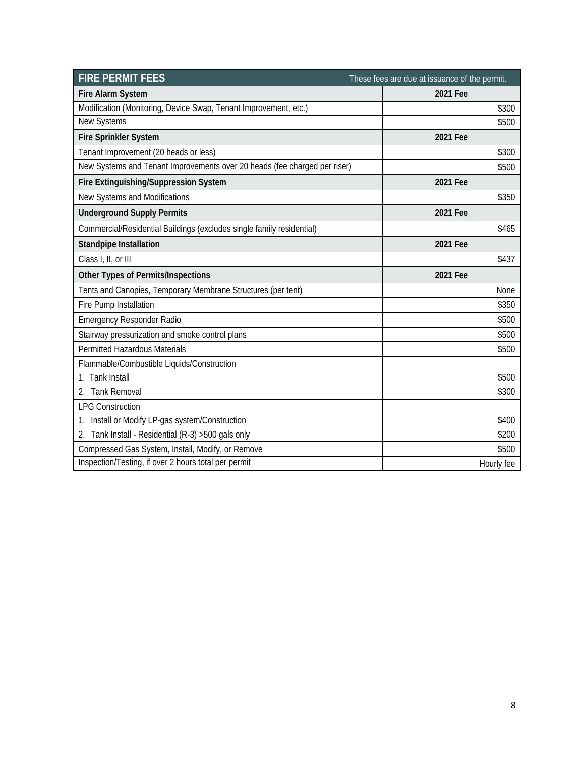| <b>FIRE PERMIT FEES</b>                                                   | These fees are due at issuance of the permit. |
|---------------------------------------------------------------------------|-----------------------------------------------|
| <b>Fire Alarm System</b>                                                  | 2021 Fee                                      |
| Modification (Monitoring, Device Swap, Tenant Improvement, etc.)          | \$300                                         |
| New Systems                                                               | \$500                                         |
| Fire Sprinkler System                                                     | 2021 Fee                                      |
| Tenant Improvement (20 heads or less)                                     | \$300                                         |
| New Systems and Tenant Improvements over 20 heads (fee charged per riser) | \$500                                         |
| Fire Extinguishing/Suppression System                                     | 2021 Fee                                      |
| New Systems and Modifications                                             | \$350                                         |
| <b>Underground Supply Permits</b>                                         | 2021 Fee                                      |
| Commercial/Residential Buildings (excludes single family residential)     | \$465                                         |
| <b>Standpipe Installation</b>                                             | 2021 Fee                                      |
| Class I, II, or III                                                       | \$437                                         |
| Other Types of Permits/Inspections                                        | 2021 Fee                                      |
| Tents and Canopies, Temporary Membrane Structures (per tent)              | None                                          |
| Fire Pump Installation                                                    | \$350                                         |
| <b>Emergency Responder Radio</b>                                          | \$500                                         |
| Stairway pressurization and smoke control plans                           | \$500                                         |
| Permitted Hazardous Materials                                             | \$500                                         |
| Flammable/Combustible Liquids/Construction                                |                                               |
| 1. Tank Install                                                           | \$500                                         |
| 2. Tank Removal                                                           | \$300                                         |
| <b>LPG Construction</b>                                                   |                                               |
| 1. Install or Modify LP-gas system/Construction                           | \$400                                         |
| 2. Tank Install - Residential (R-3) > 500 gals only                       | \$200                                         |
| Compressed Gas System, Install, Modify, or Remove                         | \$500                                         |
| Inspection/Testing, if over 2 hours total per permit                      | Hourly fee                                    |